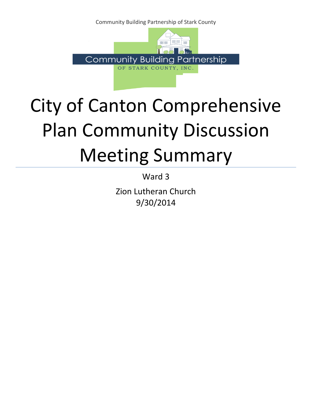Community Building Partnership of Stark County



## City of Canton Comprehensive Plan Community Discussion Meeting Summary

Ward 3

Zion Lutheran Church 9/30/2014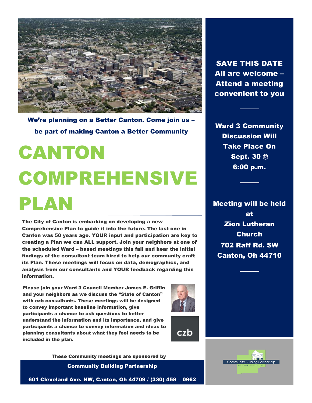

We're planning on a Better Canton. Come join us – be part of making Canton a Better Community

# CANTON COMPREHENSIVE PLAN

The City of Canton is embarking on developing a new Comprehensive Plan to guide it into the future. The last one in Canton was 50 years ago. YOUR input and participation are key to creating a Plan we can ALL support. Join your neighbors at one of the scheduled Ward – based meetings this fall and hear the initial findings of the consultant team hired to help our community craft its Plan. These meetings will focus on data, demographics, and analysis from our consultants and YOUR feedback regarding this information.

Please join your Ward 3 Council Member James E. Griffin and your neighbors as we discuss the "State of Canton" with czb consultants. These meetings will be designed to convey important baseline information, give participants a chance to ask questions to better understand the information and its importance, and give participants a chance to convey information and ideas to planning consultants about what they feel needs to be included in the plan.



czb

These Community meetings are sponsored by

Community Building Partnership

601 Cleveland Ave. NW, Canton, Oh 44709 / (330) 458 – 0962

SAVE THIS DATE All are welcome – Attend a meeting convenient to you

Ward 3 Community Discussion Will Take Place On Sept. 30 @ 6:00 p.m.

Meeting will be held at Zion Lutheran Church 702 Raff Rd. SW Canton, Oh 44710

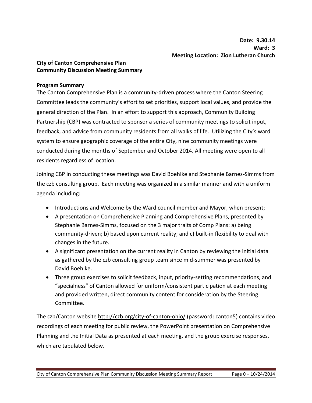## **City of Canton Comprehensive Plan Community Discussion Meeting Summary**

#### **Program Summary**

The Canton Comprehensive Plan is a community-driven process where the Canton Steering Committee leads the community's effort to set priorities, support local values, and provide the general direction of the Plan. In an effort to support this approach, Community Building Partnership (CBP) was contracted to sponsor a series of community meetings to solicit input, feedback, and advice from community residents from all walks of life. Utilizing the City's ward system to ensure geographic coverage of the entire City, nine community meetings were conducted during the months of September and October 2014. All meeting were open to all residents regardless of location.

Joining CBP in conducting these meetings was David Boehlke and Stephanie Barnes-Simms from the czb consulting group. Each meeting was organized in a similar manner and with a uniform agenda including:

- Introductions and Welcome by the Ward council member and Mayor, when present;
- A presentation on Comprehensive Planning and Comprehensive Plans, presented by Stephanie Barnes-Simms, focused on the 3 major traits of Comp Plans: a) being community-driven; b) based upon current reality; and c) built-in flexibility to deal with changes in the future.
- A significant presentation on the current reality in Canton by reviewing the initial data as gathered by the czb consulting group team since mid-summer was presented by David Boehlke.
- Three group exercises to solicit feedback, input, priority-setting recommendations, and "specialness" of Canton allowed for uniform/consistent participation at each meeting and provided written, direct community content for consideration by the Steering Committee.

The czb/Canton website http://czb.org/city-of-canton-ohio/ (password: canton5) contains video recordings of each meeting for public review, the PowerPoint presentation on Comprehensive Planning and the Initial Data as presented at each meeting, and the group exercise responses, which are tabulated below.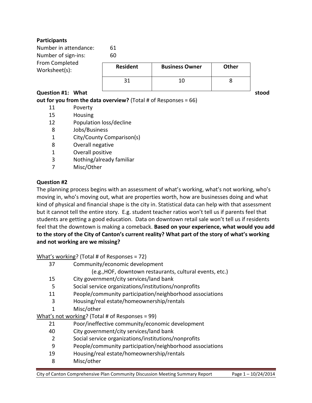## **Participants**

| Number in attendance:<br>Number of sign-ins:<br>From Completed<br>Worksheet(s): | 61<br>60        |                       |              |       |
|---------------------------------------------------------------------------------|-----------------|-----------------------|--------------|-------|
|                                                                                 | <b>Resident</b> | <b>Business Owner</b> | <b>Other</b> |       |
|                                                                                 | 31              | 10                    | 8            |       |
| Question #1: What                                                               |                 |                       |              | stood |

## **out for you from the data overview?** (Total # of Responses = 66)

- 11 Poverty
- 15 Housing
- 12 Population loss/decline
- 8 Jobs/Business
- 1 City/County Comparison(s)
- 8 Overall negative
- 1 Overall positive
- 3 Nothing/already familiar
- 7 Misc/Other

#### **Question #2**

The planning process begins with an assessment of what's working, what's not working, who's moving in, who's moving out, what are properties worth, how are businesses doing and what kind of physical and financial shape is the city in. Statistical data can help with that assessment but it cannot tell the entire story. E.g. student teacher ratios won't tell us if parents feel that students are getting a good education. Data on downtown retail sale won't tell us if residents feel that the downtown is making a comeback. **Based on your experience, what would you add to the story of the City of Canton's current reality? What part of the story of what's working and not working are we missing?** 

What's working? (Total # of Responses = 72)

- 37 Community/economic development
	- (e.g.,HOF, downtown restaurants, cultural events, etc.)
- 15 City government/city services/land bank
- 5 Social service organizations/institutions/nonprofits
- 11 People/community participation/neighborhood associations
- 3 Housing/real estate/homeownership/rentals
- 1 Misc/other

What's not working? (Total # of Responses = 99)

- 21 Poor/ineffective community/economic development
- 40 City government/city services/land bank
- 2 Social service organizations/institutions/nonprofits
- 9 People/community participation/neighborhood associations
- 19 Housing/real estate/homeownership/rentals
- 8 Misc/other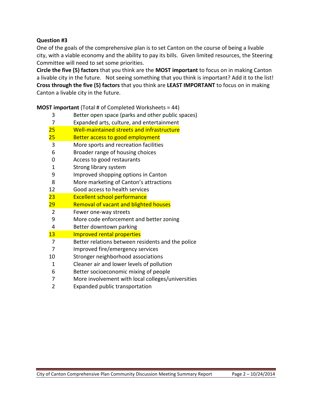## **Question #3**

One of the goals of the comprehensive plan is to set Canton on the course of being a livable city, with a viable economy and the ability to pay its bills. Given limited resources, the Steering Committee will need to set some priorities.

**Circle the five (5) factors** that you think are the **MOST important** to focus on in making Canton a livable city in the future. Not seeing something that you think is important? Add it to the list! **Cross through the five (5) factors** that you think are **LEAST IMPORTANT** to focus on in making Canton a livable city in the future.

**MOST important** (Total # of Completed Worksheets = 44)

- 3 Better open space (parks and other public spaces) 7 Expanded arts, culture, and entertainment 25 Well-maintained streets and infrastructure 25 Better access to good employment 3 More sports and recreation facilities 6 Broader range of housing choices 0 Access to good restaurants 1 Strong library system 9 Improved shopping options in Canton 8 More marketing of Canton's attractions 12 Good access to health services 23 Excellent school performance 29 Removal of vacant and blighted houses 2 Fewer one-way streets 9 More code enforcement and better zoning 4 Better downtown parking 13 Improved rental properties 7 Better relations between residents and the police 7 Improved fire/emergency services 10 Stronger neighborhood associations 1 Cleaner air and lower levels of pollution 6 Better socioeconomic mixing of people 7 More involvement with local colleges/universities
	- 2 Expanded public transportation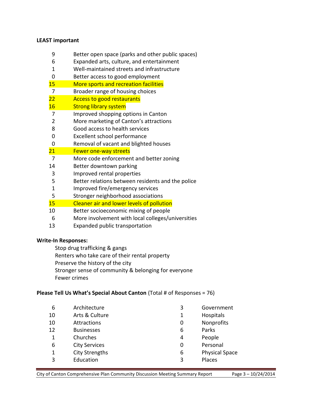#### **LEAST important**

- Better open space (parks and other public spaces)
- Expanded arts, culture, and entertainment
- Well-maintained streets and infrastructure
- Better access to good employment
- More sports and recreation facilities
- Broader range of housing choices
- **Access to good restaurants**
- 16 Strong library system
- Improved shopping options in Canton
- More marketing of Canton's attractions
- Good access to health services
- Excellent school performance
- Removal of vacant and blighted houses

#### 21 Fewer one-way streets

- More code enforcement and better zoning
- Better downtown parking
- Improved rental properties
- Better relations between residents and the police
- Improved fire/emergency services
- Stronger neighborhood associations
- 15 Cleaner air and lower levels of pollution
- Better socioeconomic mixing of people
- More involvement with local colleges/universities
- Expanded public transportation

#### **Write-In Responses:**

Stop drug trafficking & gangs

Renters who take care of their rental property

- Preserve the history of the city
- Stronger sense of community & belonging for everyone
- Fewer crimes

#### **Please Tell Us What's Special About Canton** (Total # of Responses = 76)

| 6  | Architecture          | 3 | Government            |
|----|-----------------------|---|-----------------------|
| 10 | Arts & Culture        | 1 | Hospitals             |
| 10 | Attractions           | 0 | Nonprofits            |
| 12 | <b>Businesses</b>     | 6 | Parks                 |
| 1  | Churches              | 4 | People                |
| 6  | <b>City Services</b>  | 0 | Personal              |
| 1  | <b>City Strengths</b> | 6 | <b>Physical Space</b> |
| 3  | Education             | 3 | Places                |
|    |                       |   |                       |